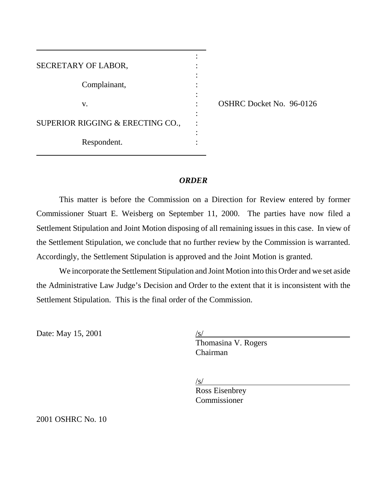| SECRETARY OF LABOR,              |  |
|----------------------------------|--|
|                                  |  |
| Complainant,                     |  |
|                                  |  |
| V.                               |  |
|                                  |  |
| SUPERIOR RIGGING & ERECTING CO., |  |
|                                  |  |
| Respondent.                      |  |
|                                  |  |

OSHRC Docket No. 96-0126

### *ORDER*

This matter is before the Commission on a Direction for Review entered by former Commissioner Stuart E. Weisberg on September 11, 2000. The parties have now filed a Settlement Stipulation and Joint Motion disposing of all remaining issues in this case. In view of the Settlement Stipulation, we conclude that no further review by the Commission is warranted. Accordingly, the Settlement Stipulation is approved and the Joint Motion is granted.

We incorporate the Settlement Stipulation and Joint Motion into this Order and we set aside the Administrative Law Judge's Decision and Order to the extent that it is inconsistent with the Settlement Stipulation. This is the final order of the Commission.

Date: May 15, 2001

 $\overline{a}$ 

Thomasina V. Rogers Chairman

/s/

Ross Eisenbrey Commissioner

2001 OSHRC No. 10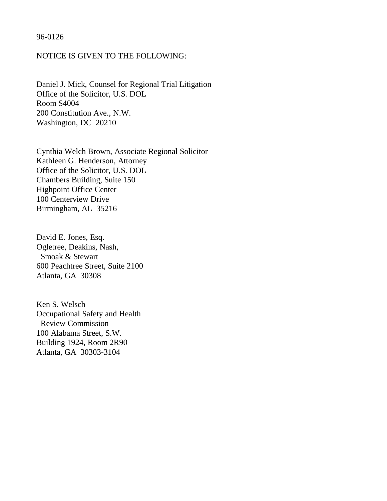## 96-0126

# NOTICE IS GIVEN TO THE FOLLOWING:

Daniel J. Mick, Counsel for Regional Trial Litigation Office of the Solicitor, U.S. DOL Room S4004 200 Constitution Ave., N.W. Washington, DC 20210

Cynthia Welch Brown, Associate Regional Solicitor Kathleen G. Henderson, Attorney Office of the Solicitor, U.S. DOL Chambers Building, Suite 150 Highpoint Office Center 100 Centerview Drive Birmingham, AL 35216

David E. Jones, Esq. Ogletree, Deakins, Nash, Smoak & Stewart 600 Peachtree Street, Suite 2100 Atlanta, GA 30308

Ken S. Welsch Occupational Safety and Health Review Commission 100 Alabama Street, S.W. Building 1924, Room 2R90 Atlanta, GA 30303-3104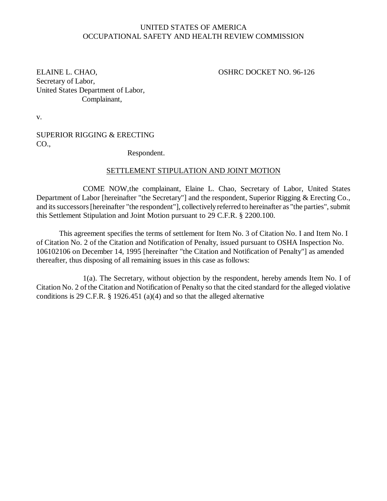## UNITED STATES OF AMERICA OCCUPATIONAL SAFETY AND HEALTH REVIEW COMMISSION

ELAINE L. CHAO, CHAO, CHAO, CHAO, CHAO, CHAO, CHAO, CHAO, CHAO, CHAO, CHAO, CHAO, CHAO, CHAO, CHAO, CHAO, CHAO, CHAO, CHAO, CHAO, CHAO, CHAO, CHAO, CHAO, CHAO, CHAO, CHAO, CHAO, CHAO, CHAO, CHAO, CHAO, CHAO, CHAO, CHAO, CH Secretary of Labor, United States Department of Labor, Complainant,

v.

SUPERIOR RIGGING & ERECTING CO.,

Respondent.

## SETTLEMENT STIPULATION AND JOINT MOTION

COME NOW,the complainant, Elaine L. Chao, Secretary of Labor, United States Department of Labor [hereinafter "the Secretary"] and the respondent, Superior Rigging & Erecting Co., and its successors [hereinafter "the respondent"], collectively referred to hereinafter as "the parties", submit this Settlement Stipulation and Joint Motion pursuant to 29 C.F.R. § 2200.100.

This agreement specifies the terms of settlement for Item No. 3 of Citation No. I and Item No. I of Citation No. 2 of the Citation and Notification of Penalty, issued pursuant to OSHA Inspection No. 106102106 on December 14, 1995 [hereinafter "the Citation and Notification of Penalty"] as amended thereafter, thus disposing of all remaining issues in this case as follows:

1(a). The Secretary, without objection by the respondent, hereby amends Item No. I of Citation No. 2 of the Citation and Notification of Penalty so that the cited standard for the alleged violative conditions is 29 C.F.R. § 1926.451 (a)(4) and so that the alleged alternative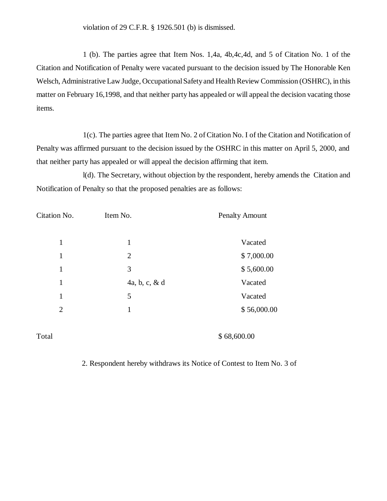violation of 29 C.F.R. § 1926.501 (b) is dismissed.

1 (b). The parties agree that Item Nos. 1,4a, 4b,4c,4d, and 5 of Citation No. 1 of the Citation and Notification of Penalty were vacated pursuant to the decision issued by The Honorable Ken Welsch, Administrative Law Judge, Occupational Safety and Health Review Commission (OSHRC), in this matter on February 16,1998, and that neither party has appealed or will appeal the decision vacating those items.

1(c). The parties agree that Item No. 2 of Citation No. I of the Citation and Notification of Penalty was affirmed pursuant to the decision issued by the OSHRC in this matter on April 5, 2000, and that neither party has appealed or will appeal the decision affirming that item.

l(d). The Secretary, without objection by the respondent, hereby amends the Citation and Notification of Penalty so that the proposed penalties are as follows:

| Citation No.   | Item No.         | <b>Penalty Amount</b> |
|----------------|------------------|-----------------------|
| $\mathbf{1}$   | $\mathbf{1}$     | Vacated               |
| $\mathbf{1}$   | $\overline{2}$   | \$7,000.00            |
| 1              | 3                | \$5,600.00            |
| 1              | 4a, b, c, $\&$ d | Vacated               |
| 1              | 5                | Vacated               |
| $\overline{2}$ | 1                | \$56,000.00           |
| Total          |                  | \$68,600.00           |

2. Respondent hereby withdraws its Notice of Contest to Item No. 3 of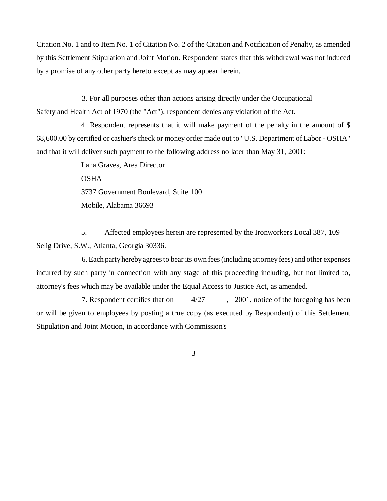Citation No. 1 and to Item No. 1 of Citation No. 2 of the Citation and Notification of Penalty, as amended by this Settlement Stipulation and Joint Motion. Respondent states that this withdrawal was not induced by a promise of any other party hereto except as may appear herein.

3. For all purposes other than actions arising directly under the Occupational Safety and Health Act of 1970 (the "Act"), respondent denies any violation of the Act.

4. Respondent represents that it will make payment of the penalty in the amount of \$ 68,600.00 by certified or cashier's check or money order made out to "U.S. Department of Labor - OSHA" and that it will deliver such payment to the following address no later than May 31, 2001:

> Lana Graves, Area Director OSHA 3737 Government Boulevard, Suite 100 Mobile, Alabama 36693

5. Affected employees herein are represented by the Ironworkers Local 387, 109 Selig Drive, S.W., Atlanta, Georgia 30336.

6. Each party hereby agrees to bear its own fees (including attorney fees) and other expenses incurred by such party in connection with any stage of this proceeding including, but not limited to, attorney's fees which may be available under the Equal Access to Justice Act, as amended.

7. Respondent certifies that on  $4/27$ ,  $2001$ , notice of the foregoing has been or will be given to employees by posting a true copy (as executed by Respondent) of this Settlement Stipulation and Joint Motion, in accordance with Commission's

3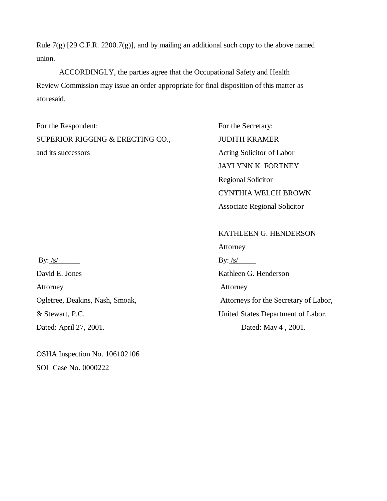Rule  $7(g)$  [29 C.F.R. 2200.7(g)], and by mailing an additional such copy to the above named union.

ACCORDINGLY, the parties agree that the Occupational Safety and Health Review Commission may issue an order appropriate for final disposition of this matter as aforesaid.

For the Respondent: For the Secretary: SUPERIOR RIGGING & ERECTING CO., JUDITH KRAMER and its successors Acting Solicitor of Labor

JAYLYNN K. FORTNEY Regional Solicitor CYNTHIA WELCH BROWN Associate Regional Solicitor

By: <u>/s/</u> By: /s/ David E. Jones Kathleen G. Henderson Attorney **Attorney** Ogletree, Deakins, Nash, Smoak, Attorneys for the Secretary of Labor, & Stewart, P.C. United States Department of Labor. Dated: April 27, 2001. Dated: May 4, 2001.

OSHA Inspection No. 106102106 SOL Case No. 0000222

KATHLEEN G. HENDERSON

Attorney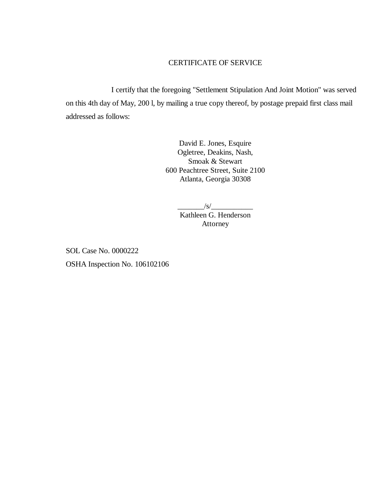# CERTIFICATE OF SERVICE

I certify that the foregoing "Settlement Stipulation And Joint Motion" was served on this 4th day of May, 200 l, by mailing a true copy thereof, by postage prepaid first class mail addressed as follows:

> David E. Jones, Esquire Ogletree, Deakins, Nash, Smoak & Stewart 600 Peachtree Street, Suite 2100 Atlanta, Georgia 30308

> > $/s/$ Kathleen G. Henderson Attorney

SOL Case No. 0000222 OSHA Inspection No. 106102106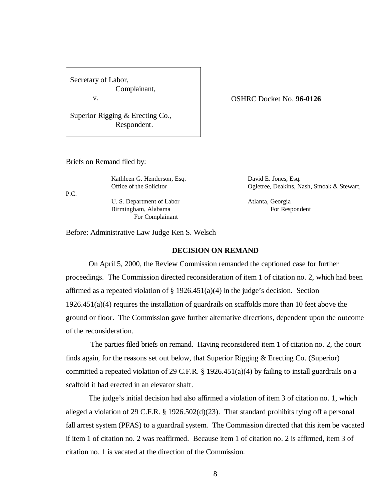Secretary of Labor, Complainant, v.

Superior Rigging & Erecting Co., Respondent.

#### OSHRC Docket No. **96-0126**

Briefs on Remand filed by:

P.C.

Kathleen G. Henderson, Esq. David E. Jones, Esq.

U. S. Department of Labor Atlanta, Georgia Birmingham, Alabama For Respondent For Complainant

Office of the Solicitor **Ogletree**, Deakins, Nash, Smoak & Stewart,

Before: Administrative Law Judge Ken S. Welsch

## **DECISION ON REMAND**

On April 5, 2000, the Review Commission remanded the captioned case for further proceedings. The Commission directed reconsideration of item 1 of citation no. 2, which had been affirmed as a repeated violation of  $\S 1926.451(a)(4)$  in the judge's decision. Section 1926.451(a)(4) requires the installation of guardrails on scaffolds more than 10 feet above the ground or floor. The Commission gave further alternative directions, dependent upon the outcome of the reconsideration.

 The parties filed briefs on remand. Having reconsidered item 1 of citation no. 2, the court finds again, for the reasons set out below, that Superior Rigging & Erecting Co. (Superior) committed a repeated violation of 29 C.F.R. § 1926.451(a)(4) by failing to install guardrails on a scaffold it had erected in an elevator shaft.

The judge's initial decision had also affirmed a violation of item 3 of citation no. 1, which alleged a violation of 29 C.F.R. § 1926.502(d)(23). That standard prohibits tying off a personal fall arrest system (PFAS) to a guardrail system. The Commission directed that this item be vacated if item 1 of citation no. 2 was reaffirmed. Because item 1 of citation no. 2 is affirmed, item 3 of citation no. 1 is vacated at the direction of the Commission.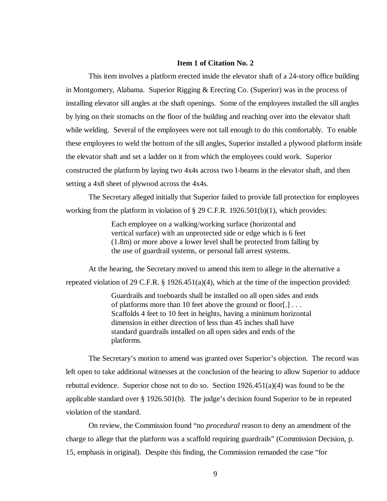#### **Item 1 of Citation No. 2**

This item involves a platform erected inside the elevator shaft of a 24-story office building in Montgomery, Alabama. Superior Rigging & Erecting Co. (Superior) was in the process of installing elevator sill angles at the shaft openings. Some of the employees installed the sill angles by lying on their stomachs on the floor of the building and reaching over into the elevator shaft while welding. Several of the employees were not tall enough to do this comfortably. To enable these employees to weld the bottom of the sill angles, Superior installed a plywood platform inside the elevator shaft and set a ladder on it from which the employees could work. Superior constructed the platform by laying two 4x4s across two I-beams in the elevator shaft, and then setting a 4x8 sheet of plywood across the 4x4s.

The Secretary alleged initially that Superior failed to provide fall protection for employees working from the platform in violation of § 29 C.F.R. 1926.501(b)(1), which provides:

> Each employee on a walking/working surface (horizontal and vertical surface) with an unprotected side or edge which is 6 feet (1.8m) or more above a lower level shall be protected from falling by the use of guardrail systems, or personal fall arrest systems.

At the hearing, the Secretary moved to amend this item to allege in the alternative a repeated violation of 29 C.F.R. § 1926.451(a)(4), which at the time of the inspection provided:

> Guardrails and toeboards shall be installed on all open sides and ends of platforms more than 10 feet above the ground or floor[.] . . . Scaffolds 4 feet to 10 feet in heights, having a minimum horizontal dimension in either direction of less than 45 inches shall have standard guardrails installed on all open sides and ends of the platforms.

The Secretary's motion to amend was granted over Superior's objection. The record was left open to take additional witnesses at the conclusion of the hearing to allow Superior to adduce rebuttal evidence. Superior chose not to do so. Section  $1926.451(a)(4)$  was found to be the applicable standard over § 1926.501(b). The judge's decision found Superior to be in repeated violation of the standard.

On review, the Commission found "no *procedural* reason to deny an amendment of the charge to allege that the platform was a scaffold requiring guardrails" (Commission Decision, p. 15, emphasis in original). Despite this finding, the Commission remanded the case "for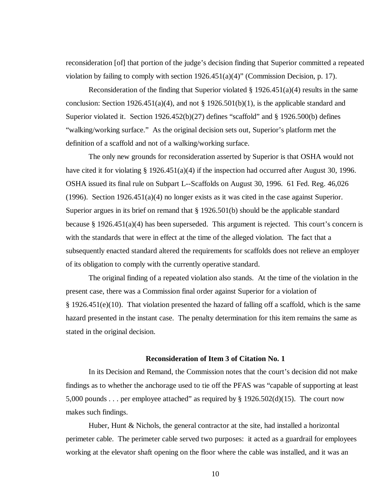reconsideration [of] that portion of the judge's decision finding that Superior committed a repeated violation by failing to comply with section  $1926.451(a)(4)$ " (Commission Decision, p. 17).

Reconsideration of the finding that Superior violated  $\S 1926.451(a)(4)$  results in the same conclusion: Section 1926.451(a)(4), and not § 1926.501(b)(1), is the applicable standard and Superior violated it. Section  $1926.452(b)(27)$  defines "scaffold" and § 1926.500(b) defines "walking/working surface." As the original decision sets out, Superior's platform met the definition of a scaffold and not of a walking/working surface.

The only new grounds for reconsideration asserted by Superior is that OSHA would not have cited it for violating § 1926.451(a)(4) if the inspection had occurred after August 30, 1996. OSHA issued its final rule on Subpart L--Scaffolds on August 30, 1996. 61 Fed. Reg. 46,026 (1996). Section 1926.451(a)(4) no longer exists as it was cited in the case against Superior. Superior argues in its brief on remand that § 1926.501(b) should be the applicable standard because § 1926.451(a)(4) has been superseded. This argument is rejected. This court's concern is with the standards that were in effect at the time of the alleged violation. The fact that a subsequently enacted standard altered the requirements for scaffolds does not relieve an employer of its obligation to comply with the currently operative standard.

The original finding of a repeated violation also stands. At the time of the violation in the present case, there was a Commission final order against Superior for a violation of  $§$  1926.451(e)(10). That violation presented the hazard of falling off a scaffold, which is the same hazard presented in the instant case. The penalty determination for this item remains the same as stated in the original decision.

#### **Reconsideration of Item 3 of Citation No. 1**

In its Decision and Remand, the Commission notes that the court's decision did not make findings as to whether the anchorage used to tie off the PFAS was "capable of supporting at least 5,000 pounds . . . per employee attached" as required by § 1926.502(d)(15). The court now makes such findings.

Huber, Hunt  $\&$  Nichols, the general contractor at the site, had installed a horizontal perimeter cable. The perimeter cable served two purposes: it acted as a guardrail for employees working at the elevator shaft opening on the floor where the cable was installed, and it was an

10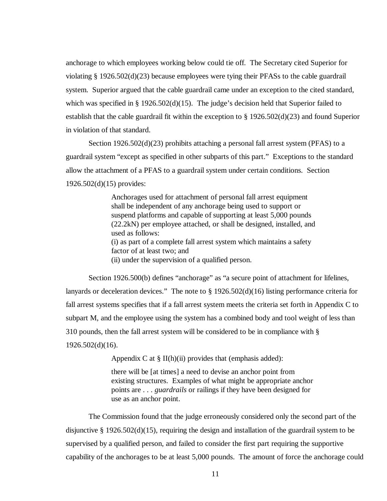anchorage to which employees working below could tie off. The Secretary cited Superior for violating § 1926.502(d)(23) because employees were tying their PFASs to the cable guardrail system. Superior argued that the cable guardrail came under an exception to the cited standard, which was specified in  $\S 1926.502(d)(15)$ . The judge's decision held that Superior failed to establish that the cable guardrail fit within the exception to § 1926.502(d)(23) and found Superior in violation of that standard.

Section 1926.502(d)(23) prohibits attaching a personal fall arrest system (PFAS) to a guardrail system "except as specified in other subparts of this part." Exceptions to the standard allow the attachment of a PFAS to a guardrail system under certain conditions. Section 1926.502(d)(15) provides:

> Anchorages used for attachment of personal fall arrest equipment shall be independent of any anchorage being used to support or suspend platforms and capable of supporting at least 5,000 pounds (22.2kN) per employee attached, or shall be designed, installed, and used as follows: (i) as part of a complete fall arrest system which maintains a safety factor of at least two; and (ii) under the supervision of a qualified person.

Section 1926.500(b) defines "anchorage" as "a secure point of attachment for lifelines, lanyards or deceleration devices." The note to § 1926.502(d)(16) listing performance criteria for fall arrest systems specifies that if a fall arrest system meets the criteria set forth in Appendix C to subpart M, and the employee using the system has a combined body and tool weight of less than 310 pounds, then the fall arrest system will be considered to be in compliance with § 1926.502(d)(16).

Appendix C at  $\S$  II(h)(ii) provides that (emphasis added):

there will be [at times] a need to devise an anchor point from existing structures. Examples of what might be appropriate anchor points are . . . *guardrails* or railings if they have been designed for use as an anchor point.

The Commission found that the judge erroneously considered only the second part of the disjunctive § 1926.502(d)(15), requiring the design and installation of the guardrail system to be supervised by a qualified person, and failed to consider the first part requiring the supportive capability of the anchorages to be at least 5,000 pounds. The amount of force the anchorage could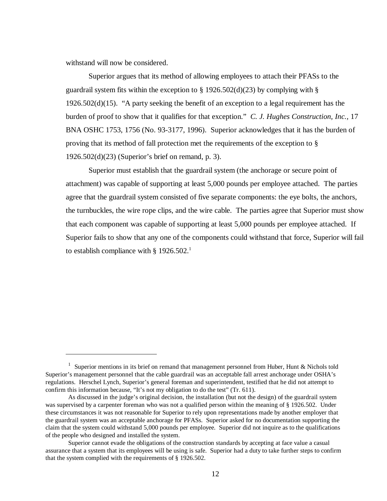withstand will now be considered.

Superior argues that its method of allowing employees to attach their PFASs to the guardrail system fits within the exception to  $\S$  1926.502(d)(23) by complying with  $\S$ 1926.502(d)(15). "A party seeking the benefit of an exception to a legal requirement has the burden of proof to show that it qualifies for that exception." *C. J. Hughes Construction, Inc.,* 17 BNA OSHC 1753, 1756 (No. 93-3177, 1996). Superior acknowledges that it has the burden of proving that its method of fall protection met the requirements of the exception to § 1926.502(d)(23) (Superior's brief on remand, p. 3).

Superior must establish that the guardrail system (the anchorage or secure point of attachment) was capable of supporting at least 5,000 pounds per employee attached. The parties agree that the guardrail system consisted of five separate components: the eye bolts, the anchors, the turnbuckles, the wire rope clips, and the wire cable. The parties agree that Superior must show that each component was capable of supporting at least 5,000 pounds per employee attached. If Superior fails to show that any one of the components could withstand that force, Superior will fail to establish compliance with § 1926.502.<sup>1</sup>

<sup>&</sup>lt;sup>1</sup> Superior mentions in its brief on remand that management personnel from Huber, Hunt & Nichols told Superior's management personnel that the cable guardrail was an acceptable fall arrest anchorage under OSHA's regulations. Herschel Lynch, Superior's general foreman and superintendent, testified that he did not attempt to confirm this information because, "It's not my obligation to do the test" (Tr. 611).

As discussed in the judge's original decision, the installation (but not the design) of the guardrail system was supervised by a carpenter foreman who was not a qualified person within the meaning of § 1926.502. Under these circumstances it was not reasonable for Superior to rely upon representations made by another employer that the guardrail system was an acceptable anchorage for PFASs. Superior asked for no documentation supporting the claim that the system could withstand 5,000 pounds per employee. Superior did not inquire as to the qualifications of the people who designed and installed the system.

Superior cannot evade the obligations of the construction standards by accepting at face value a casual assurance that a system that its employees will be using is safe. Superior had a duty to take further steps to confirm that the system complied with the requirements of § 1926.502.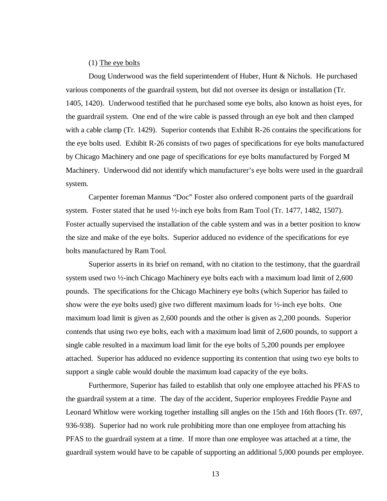#### (1) The eye bolts

Doug Underwood was the field superintendent of Huber, Hunt & Nichols. He purchased various components of the guardrail system, but did not oversee its design or installation (Tr. 1405, 1420). Underwood testified that he purchased some eye bolts, also known as hoist eyes, for the guardrail system. One end of the wire cable is passed through an eye bolt and then clamped with a cable clamp (Tr. 1429). Superior contends that Exhibit R-26 contains the specifications for the eye bolts used. Exhibit R-26 consists of two pages of specifications for eye bolts manufactured by Chicago Machinery and one page of specifications for eye bolts manufactured by Forged M Machinery. Underwood did not identify which manufacturer's eye bolts were used in the guardrail system.

Carpenter foreman Mannus "Doc" Foster also ordered component parts of the guardrail system. Foster stated that he used ½-inch eye bolts from Ram Tool (Tr. 1477, 1482, 1507). Foster actually supervised the installation of the cable system and was in a better position to know the size and make of the eye bolts. Superior adduced no evidence of the specifications for eye bolts manufactured by Ram Tool.

Superior asserts in its brief on remand, with no citation to the testimony, that the guardrail system used two ½-inch Chicago Machinery eye bolts each with a maximum load limit of 2,600 pounds. The specifications for the Chicago Machinery eye bolts (which Superior has failed to show were the eye bolts used) give two different maximum loads for  $\frac{1}{2}$ -inch eye bolts. One maximum load limit is given as 2,600 pounds and the other is given as 2,200 pounds. Superior contends that using two eye bolts, each with a maximum load limit of 2,600 pounds, to support a single cable resulted in a maximum load limit for the eye bolts of 5,200 pounds per employee attached. Superior has adduced no evidence supporting its contention that using two eye bolts to support a single cable would double the maximum load capacity of the eye bolts.

Furthermore, Superior has failed to establish that only one employee attached his PFAS to the guardrail system at a time. The day of the accident, Superior employees Freddie Payne and Leonard Whitlow were working together installing sill angles on the 15th and 16th floors (Tr. 697, 936-938). Superior had no work rule prohibiting more than one employee from attaching his PFAS to the guardrail system at a time. If more than one employee was attached at a time, the guardrail system would have to be capable of supporting an additional 5,000 pounds per employee.

13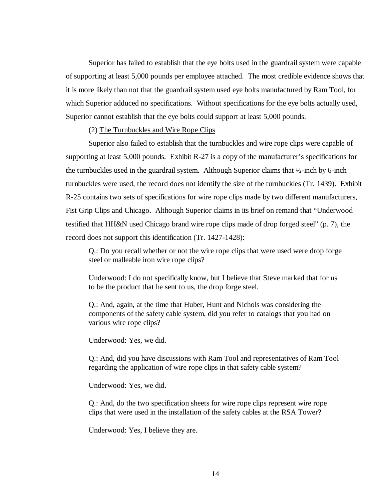Superior has failed to establish that the eye bolts used in the guardrail system were capable of supporting at least 5,000 pounds per employee attached. The most credible evidence shows that it is more likely than not that the guardrail system used eye bolts manufactured by Ram Tool, for which Superior adduced no specifications. Without specifications for the eye bolts actually used, Superior cannot establish that the eye bolts could support at least 5,000 pounds.

#### (2) The Turnbuckles and Wire Rope Clips

Superior also failed to establish that the turnbuckles and wire rope clips were capable of supporting at least 5,000 pounds. Exhibit R-27 is a copy of the manufacturer's specifications for the turnbuckles used in the guardrail system. Although Superior claims that ½-inch by 6-inch turnbuckles were used, the record does not identify the size of the turnbuckles (Tr. 1439). Exhibit R-25 contains two sets of specifications for wire rope clips made by two different manufacturers, Fist Grip Clips and Chicago. Although Superior claims in its brief on remand that "Underwood testified that HH&N used Chicago brand wire rope clips made of drop forged steel" (p. 7), the record does not support this identification (Tr. 1427-1428):

Q.: Do you recall whether or not the wire rope clips that were used were drop forge steel or malleable iron wire rope clips?

Underwood: I do not specifically know, but I believe that Steve marked that for us to be the product that he sent to us, the drop forge steel.

Q.: And, again, at the time that Huber, Hunt and Nichols was considering the components of the safety cable system, did you refer to catalogs that you had on various wire rope clips?

Underwood: Yes, we did.

Q.: And, did you have discussions with Ram Tool and representatives of Ram Tool regarding the application of wire rope clips in that safety cable system?

Underwood: Yes, we did.

Q.: And, do the two specification sheets for wire rope clips represent wire rope clips that were used in the installation of the safety cables at the RSA Tower?

Underwood: Yes, I believe they are.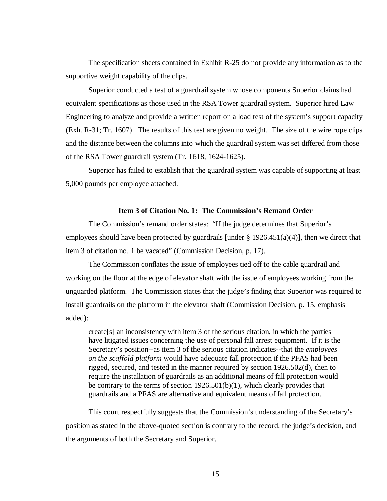The specification sheets contained in Exhibit R-25 do not provide any information as to the supportive weight capability of the clips.

Superior conducted a test of a guardrail system whose components Superior claims had equivalent specifications as those used in the RSA Tower guardrail system. Superior hired Law Engineering to analyze and provide a written report on a load test of the system's support capacity (Exh. R-31; Tr. 1607). The results of this test are given no weight. The size of the wire rope clips and the distance between the columns into which the guardrail system was set differed from those of the RSA Tower guardrail system (Tr. 1618, 1624-1625).

Superior has failed to establish that the guardrail system was capable of supporting at least 5,000 pounds per employee attached.

### **Item 3 of Citation No. 1: The Commission's Remand Order**

The Commission's remand order states: "If the judge determines that Superior's employees should have been protected by guardrails [under § 1926.451(a)(4)], then we direct that item 3 of citation no. 1 be vacated" (Commission Decision, p. 17).

The Commission conflates the issue of employees tied off to the cable guardrail and working on the floor at the edge of elevator shaft with the issue of employees working from the unguarded platform. The Commission states that the judge's finding that Superior was required to install guardrails on the platform in the elevator shaft (Commission Decision, p. 15, emphasis added):

create[s] an inconsistency with item 3 of the serious citation, in which the parties have litigated issues concerning the use of personal fall arrest equipment. If it is the Secretary's position--as item 3 of the serious citation indicates--that the *employees on the scaffold platform* would have adequate fall protection if the PFAS had been rigged, secured, and tested in the manner required by section 1926.502(d), then to require the installation of guardrails as an additional means of fall protection would be contrary to the terms of section 1926.501(b)(1), which clearly provides that guardrails and a PFAS are alternative and equivalent means of fall protection.

This court respectfully suggests that the Commission's understanding of the Secretary's position as stated in the above-quoted section is contrary to the record, the judge's decision, and the arguments of both the Secretary and Superior.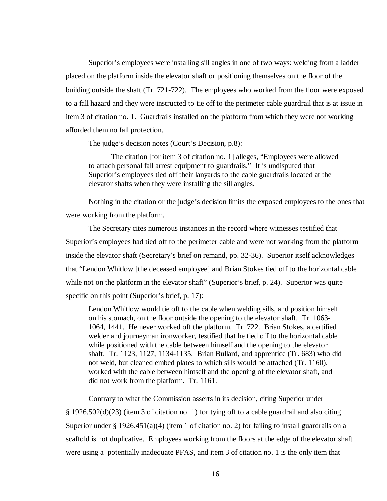Superior's employees were installing sill angles in one of two ways: welding from a ladder placed on the platform inside the elevator shaft or positioning themselves on the floor of the building outside the shaft (Tr. 721-722). The employees who worked from the floor were exposed to a fall hazard and they were instructed to tie off to the perimeter cable guardrail that is at issue in item 3 of citation no. 1. Guardrails installed on the platform from which they were not working afforded them no fall protection.

The judge's decision notes (Court's Decision, p.8):

The citation [for item 3 of citation no. 1] alleges, "Employees were allowed to attach personal fall arrest equipment to guardrails." It is undisputed that Superior's employees tied off their lanyards to the cable guardrails located at the elevator shafts when they were installing the sill angles.

Nothing in the citation or the judge's decision limits the exposed employees to the ones that were working from the platform.

The Secretary cites numerous instances in the record where witnesses testified that Superior's employees had tied off to the perimeter cable and were not working from the platform inside the elevator shaft (Secretary's brief on remand, pp. 32-36). Superior itself acknowledges that "Lendon Whitlow [the deceased employee] and Brian Stokes tied off to the horizontal cable while not on the platform in the elevator shaft" (Superior's brief, p. 24). Superior was quite specific on this point (Superior's brief, p. 17):

Lendon Whitlow would tie off to the cable when welding sills, and position himself on his stomach, on the floor outside the opening to the elevator shaft. Tr. 1063- 1064, 1441. He never worked off the platform. Tr. 722. Brian Stokes, a certified welder and journeyman ironworker, testified that he tied off to the horizontal cable while positioned with the cable between himself and the opening to the elevator shaft. Tr. 1123, 1127, 1134-1135. Brian Bullard, and apprentice (Tr. 683) who did not weld, but cleaned embed plates to which sills would be attached (Tr. 1160), worked with the cable between himself and the opening of the elevator shaft, and did not work from the platform. Tr. 1161.

Contrary to what the Commission asserts in its decision, citing Superior under § 1926.502(d)(23) (item 3 of citation no. 1) for tying off to a cable guardrail and also citing Superior under § 1926.451(a)(4) (item 1 of citation no. 2) for failing to install guardrails on a scaffold is not duplicative. Employees working from the floors at the edge of the elevator shaft were using a potentially inadequate PFAS, and item 3 of citation no. 1 is the only item that